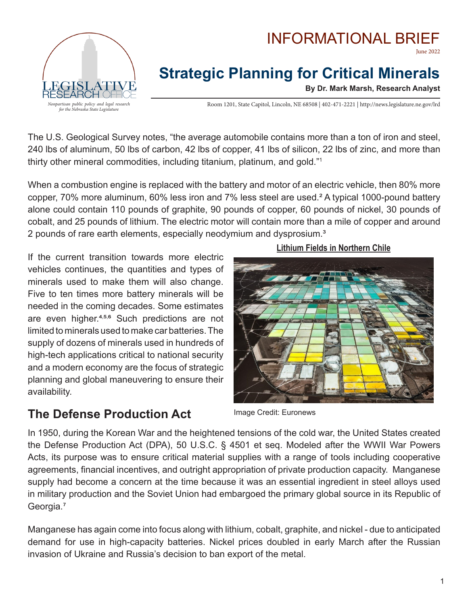



# **Strategic Planning for Critical Minerals**

**By Dr. Mark Marsh, Research Analyst**

Room 1201, State Capitol, Lincoln, NE 68508 | 402-471-2221 | http://news.legislature.ne.gov/lrd

The U.S. Geological Survey notes, "the average automobile contains more than a ton of iron and steel, 240 lbs of aluminum, 50 lbs of carbon, 42 lbs of copper, 41 lbs of silicon, 22 lbs of zinc, and more than thirty other mineral commodities, including titanium, platinum, and gold."1

When a combustion engine is replaced with the battery and motor of an electric vehicle, then 80% more copper, 70% more aluminum, 60% less iron and 7% less steel are used.² A typical 1000-pound battery alone could contain 110 pounds of graphite, 90 pounds of copper, 60 pounds of nickel, 30 pounds of cobalt, and 25 pounds of lithium. The electric motor will contain more than a mile of copper and around 2 pounds of rare earth elements, especially neodymium and dysprosium.<sup>3</sup>

If the current transition towards more electric vehicles continues, the quantities and types of minerals used to make them will also change. Five to ten times more battery minerals will be needed in the coming decades. Some estimates are even higher.<sup>4,5,6</sup> Such predictions are not limited to minerals used to make car batteries. The supply of dozens of minerals used in hundreds of high-tech applications critical to national security and a modern economy are the focus of strategic planning and global maneuvering to ensure their availability.

**The Defense Production Act**

Image Credit: Euronews

In 1950, during the Korean War and the heightened tensions of the cold war, the United States created the Defense Production Act (DPA), 50 U.S.C. § 4501 et seq. Modeled after the WWII War Powers Acts, its purpose was to ensure critical material supplies with a range of tools including cooperative agreements, financial incentives, and outright appropriation of private production capacity. Manganese supply had become a concern at the time because it was an essential ingredient in steel alloys used in military production and the Soviet Union had embargoed the primary global source in its Republic of Georgia.<sup>7</sup>

Manganese has again come into focus along with lithium, cobalt, graphite, and nickel - due to anticipated demand for use in high-capacity batteries. Nickel prices doubled in early March after the Russian invasion of Ukraine and Russia's decision to ban export of the metal.

#### **Lithium Fields in Northern Chile**

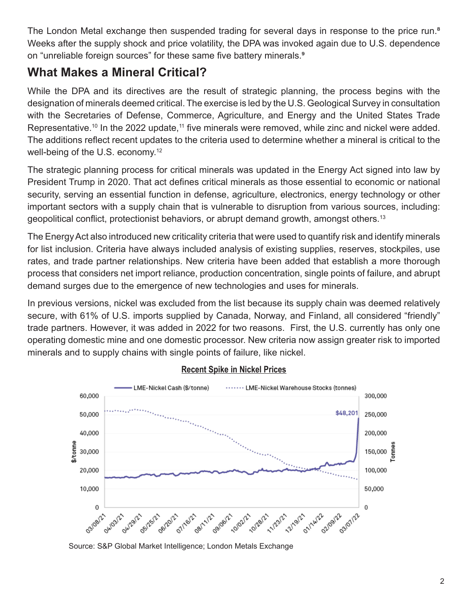The London Metal exchange then suspended trading for several days in response to the price run.<sup>8</sup> Weeks after the supply shock and price volatility, the DPA was invoked again due to U.S. dependence on "unreliable foreign sources" for these same five battery minerals.<sup>9</sup>

## **What Makes a Mineral Critical?**

While the DPA and its directives are the result of strategic planning, the process begins with the designation of minerals deemed critical. The exercise is led by the U.S. Geological Survey in consultation with the Secretaries of Defense, Commerce, Agriculture, and Energy and the United States Trade Representative.<sup>10</sup> In the 2022 update,<sup>11</sup> five minerals were removed, while zinc and nickel were added. The additions reflect recent updates to the criteria used to determine whether a mineral is critical to the well-being of the U.S. economy.<sup>12</sup>

The strategic planning process for critical minerals was updated in the Energy Act signed into law by President Trump in 2020. That act defines critical minerals as those essential to economic or national security, serving an essential function in defense, agriculture, electronics, energy technology or other important sectors with a supply chain that is vulnerable to disruption from various sources, including: geopolitical conflict, protectionist behaviors, or abrupt demand growth, amongst others.<sup>13</sup>

The Energy Act also introduced new criticality criteria that were used to quantify risk and identify minerals for list inclusion. Criteria have always included analysis of existing supplies, reserves, stockpiles, use rates, and trade partner relationships. New criteria have been added that establish a more thorough process that considers net import reliance, production concentration, single points of failure, and abrupt demand surges due to the emergence of new technologies and uses for minerals.

In previous versions, nickel was excluded from the list because its supply chain was deemed relatively secure, with 61% of U.S. imports supplied by Canada, Norway, and Finland, all considered "friendly" trade partners. However, it was added in 2022 for two reasons. First, the U.S. currently has only one operating domestic mine and one domestic processor. New criteria now assign greater risk to imported minerals and to supply chains with single points of failure, like nickel.



#### **Recent Spike in Nickel Prices**

Source: S&P Global Market Intelligence; London Metals Exchange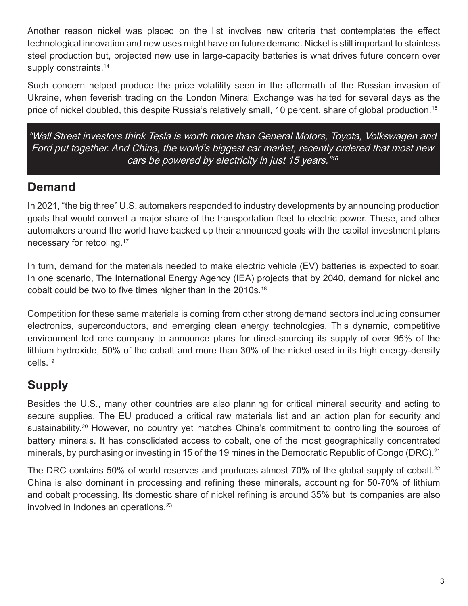Another reason nickel was placed on the list involves new criteria that contemplates the effect technological innovation and new uses might have on future demand. Nickel is still important to stainless steel production but, projected new use in large-capacity batteries is what drives future concern over supply constraints.<sup>14</sup>

Such concern helped produce the price volatility seen in the aftermath of the Russian invasion of Ukraine, when feverish trading on the London Mineral Exchange was halted for several days as the price of nickel doubled, this despite Russia's relatively small, 10 percent, share of global production.<sup>15</sup>

"Wall Street investors think Tesla is worth more than General Motors, Toyota, Volkswagen and Ford put together. And China, the world's biggest car market, recently ordered that most new cars be powered by electricity in just 15 years.  $1/16$ 

### **Demand**

In 2021, "the big three" U.S. automakers responded to industry developments by announcing production goals that would convert a major share of the transportation fleet to electric power. These, and other automakers around the world have backed up their announced goals with the capital investment plans necessary for retooling.<sup>17</sup>

In turn, demand for the materials needed to make electric vehicle (EV) batteries is expected to soar. In one scenario, The International Energy Agency (IEA) projects that by 2040, demand for nickel and cobalt could be two to five times higher than in the 2010s.<sup>18</sup>

Competition for these same materials is coming from other strong demand sectors including consumer electronics, superconductors, and emerging clean energy technologies. This dynamic, competitive environment led one company to announce plans for direct-sourcing its supply of over 95% of the lithium hydroxide, 50% of the cobalt and more than 30% of the nickel used in its high energy-density cells.19

## **Supply**

Besides the U.S., many other countries are also planning for critical mineral security and acting to secure supplies. The EU produced a critical raw materials list and an action plan for security and sustainability.<sup>20</sup> However, no country yet matches China's commitment to controlling the sources of battery minerals. It has consolidated access to cobalt, one of the most geographically concentrated minerals, by purchasing or investing in 15 of the 19 mines in the Democratic Republic of Congo (DRC).<sup>21</sup>

The DRC contains 50% of world reserves and produces almost 70% of the global supply of cobalt.<sup>22</sup> China is also dominant in processing and refining these minerals, accounting for 50-70% of lithium and cobalt processing. Its domestic share of nickel refining is around 35% but its companies are also involved in Indonesian operations.<sup>23</sup>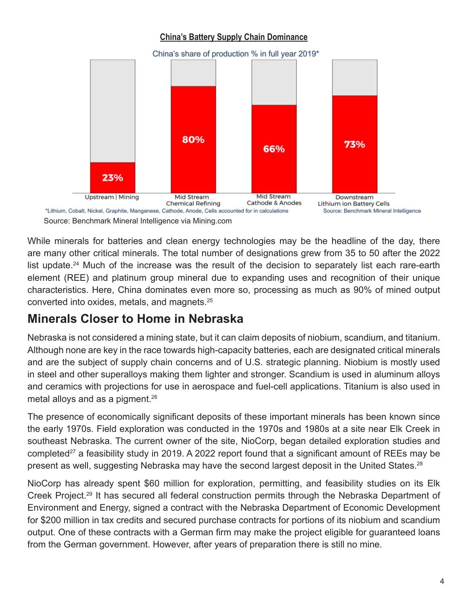#### **China's Battery Supply Chain Dominance**



While minerals for batteries and clean energy technologies may be the headline of the day, there are many other critical minerals. The total number of designations grew from 35 to 50 after the 2022 list update.<sup>24</sup> Much of the increase was the result of the decision to separately list each rare-earth element (REE) and platinum group mineral due to expanding uses and recognition of their unique characteristics. Here, China dominates even more so, processing as much as 90% of mined output converted into oxides, metals, and magnets.25

## **Minerals Closer to Home in Nebraska**

Nebraska is not considered a mining state, but it can claim deposits of niobium, scandium, and titanium. Although none are key in the race towards high-capacity batteries, each are designated critical minerals and are the subject of supply chain concerns and of U.S. strategic planning. Niobium is mostly used in steel and other superalloys making them lighter and stronger. Scandium is used in aluminum alloys and ceramics with projections for use in aerospace and fuel-cell applications. Titanium is also used in metal alloys and as a pigment.<sup>26</sup>

The presence of economically significant deposits of these important minerals has been known since the early 1970s. Field exploration was conducted in the 1970s and 1980s at a site near Elk Creek in southeast Nebraska. The current owner of the site, NioCorp, began detailed exploration studies and completed<sup>27</sup> a feasibility study in 2019. A 2022 report found that a significant amount of REEs may be present as well, suggesting Nebraska may have the second largest deposit in the United States.<sup>28</sup>

NioCorp has already spent \$60 million for exploration, permitting, and feasibility studies on its Elk Creek Project.<sup>29</sup> It has secured all federal construction permits through the Nebraska Department of Environment and Energy, signed a contract with the Nebraska Department of Economic Development for \$200 million in tax credits and secured purchase contracts for portions of its niobium and scandium output. One of these contracts with a German firm may make the project eligible for guaranteed loans from the German government. However, after years of preparation there is still no mine.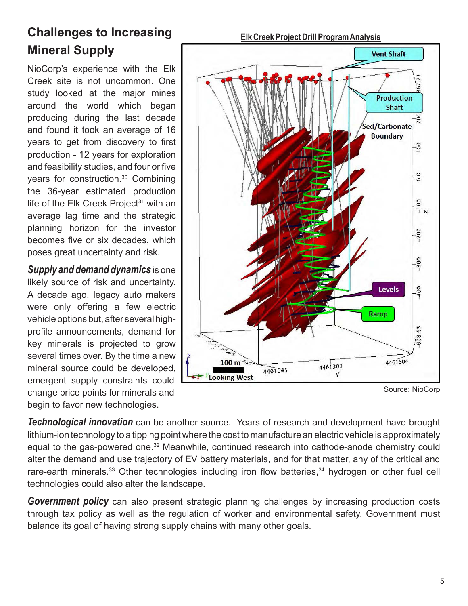## **Challenges to Increasing Mineral Supply**

NioCorp's experience with the Elk Creek site is not uncommon. One study looked at the major mines around the world which began producing during the last decade and found it took an average of 16 years to get from discovery to first production - 12 years for exploration and feasibility studies, and four or five years for construction.30 Combining the 36-year estimated production life of the Elk Creek Project $31$  with an average lag time and the strategic planning horizon for the investor becomes five or six decades, which poses great uncertainty and risk.

*Supply and demand dynamics* is one likely source of risk and uncertainty. A decade ago, legacy auto makers were only offering a few electric vehicle options but, after several highprofile announcements, demand for key minerals is projected to grow several times over. By the time a new mineral source could be developed, emergent supply constraints could change price points for minerals and begin to favor new technologies.



Source: NioCorp

*Technological innovation* can be another source. Years of research and development have brought lithium-ion technology to a tipping point where the cost to manufacture an electric vehicle is approximately equal to the gas-powered one.32 Meanwhile, continued research into cathode-anode chemistry could alter the demand and use trajectory of EV battery materials, and for that matter, any of the critical and rare-earth minerals.<sup>33</sup> Other technologies including iron flow batteries,<sup>34</sup> hydrogen or other fuel cell technologies could also alter the landscape.

*Government policy* can also present strategic planning challenges by increasing production costs through tax policy as well as the regulation of worker and environmental safety. Government must balance its goal of having strong supply chains with many other goals.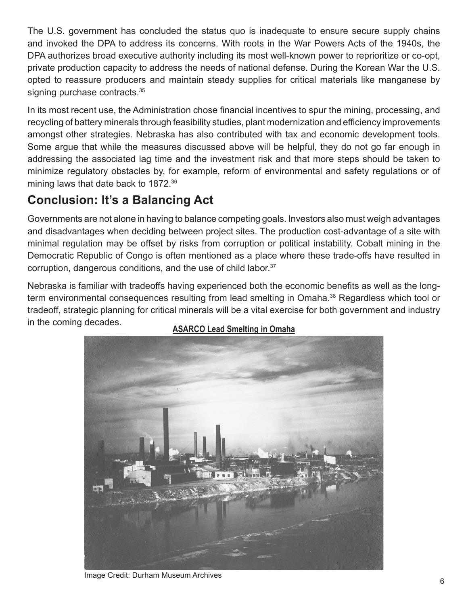The U.S. government has concluded the status quo is inadequate to ensure secure supply chains and invoked the DPA to address its concerns. With roots in the War Powers Acts of the 1940s, the DPA authorizes broad executive authority including its most well-known power to reprioritize or co-opt, private production capacity to address the needs of national defense. During the Korean War the U.S. opted to reassure producers and maintain steady supplies for critical materials like manganese by signing purchase contracts.<sup>35</sup>

In its most recent use, the Administration chose financial incentives to spur the mining, processing, and recycling of battery minerals through feasibility studies, plant modernization and efficiency improvements amongst other strategies. Nebraska has also contributed with tax and economic development tools. Some argue that while the measures discussed above will be helpful, they do not go far enough in addressing the associated lag time and the investment risk and that more steps should be taken to minimize regulatory obstacles by, for example, reform of environmental and safety regulations or of mining laws that date back to 1872.<sup>36</sup>

## **Conclusion: It's a Balancing Act**

Governments are not alone in having to balance competing goals. Investors also must weigh advantages and disadvantages when deciding between project sites. The production cost-advantage of a site with minimal regulation may be offset by risks from corruption or political instability. Cobalt mining in the Democratic Republic of Congo is often mentioned as a place where these trade-offs have resulted in corruption, dangerous conditions, and the use of child labor.<sup>37</sup>

Nebraska is familiar with tradeoffs having experienced both the economic benefits as well as the longterm environmental consequences resulting from lead smelting in Omaha.<sup>38</sup> Regardless which tool or tradeoff, strategic planning for critical minerals will be a vital exercise for both government and industry in the coming decades.



#### **ASARCO Lead Smelting in Omaha**

Image Credit: Durham Museum Archives